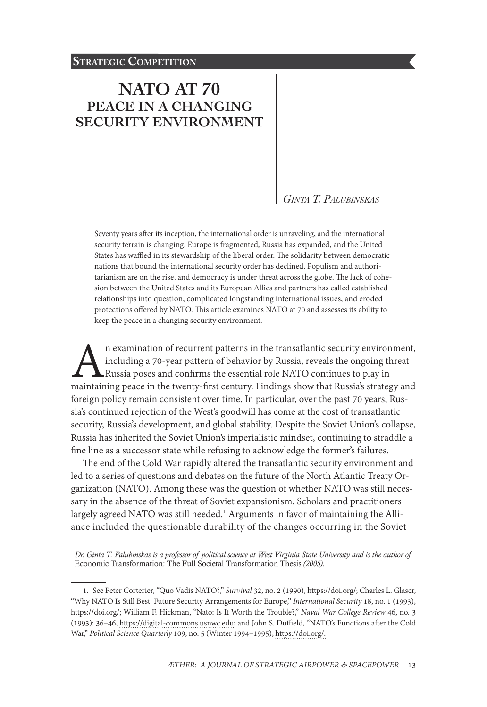# **[NATO AT 70](#page-0-0) [PEACE IN A CHANGING](#page-0-0)  [SECURITY ENVIRONMENT](#page-0-0)**

### *Ginta T. Palubinskas*

Seventy years after its inception, the international order is unraveling, and the international security terrain is changing. Europe is fragmented, Russia has expanded, and the United States has waffled in its stewardship of the liberal order. The solidarity between democratic nations that bound the international security order has declined. Populism and authoritarianism are on the rise, and democracy is under threat across the globe. The lack of cohesion between the United States and its European Allies and partners has called established relationships into question, complicated longstanding international issues, and eroded protections offered by NATO. This article examines NATO at 70 and assesses its ability to keep the peace in a changing security environment.

n examination of recurrent patterns in the transatlantic security environment, including a 70-year pattern of behavior by Russia, reveals the ongoing threat Russia poses and confirms the essential role NATO continues to pl including a 70-year pattern of behavior by Russia, reveals the ongoing threat Russia poses and confirms the essential role NATO continues to play in foreign policy remain consistent over time. In particular, over the past 70 years, Russia's continued rejection of the West's goodwill has come at the cost of transatlantic security, Russia's development, and global stability. Despite the Soviet Union's collapse, Russia has inherited the Soviet Union's imperialistic mindset, continuing to straddle a fine line as a successor state while refusing to acknowledge the former's failures.

The end of the Cold War rapidly altered the transatlantic security environment and led to a series of questions and debates on the future of the North Atlantic Treaty Organization (NATO). Among these was the question of whether NATO was still necessary in the absence of the threat of Soviet expansionism. Scholars and practitioners largely agreed NATO was still needed.<sup>1</sup> Arguments in favor of maintaining the Alliance included the questionable durability of the changes occurring in the Soviet

*Dr. Ginta T. Palubinskas is a professor of political science at West Virginia State University and is the author of*  Economic Transformation: The Full Societal Transformation Thesis *(2005).*

<span id="page-0-0"></span><sup>1.</sup> See Peter Corterier, "Quo Vadis NATO?," *Survival* 32, no. 2 (1990), [https://doi.org/](https://doi.org/10.1080/00396339008442518); Charles L. Glaser, "Why NATO Is Still Best: Future Security Arrangements for Europe," *International Security* 18, no. 1 (1993), [https://doi.org/](https://doi.org/10.2307/2539031); William F. Hickman, "Nato: Is It Worth the Trouble?," *Naval War College Review* 46, no. 3 (1993): 36–46, https://digital-commons.usnwc.edu; and John S. Duffield, "NATO's Functions after the Cold War," *Political Science Quarterly* 109, no. 5 (Winter 1994–1995), [https://doi.org/.](https://doi.org/10.2307/2152531)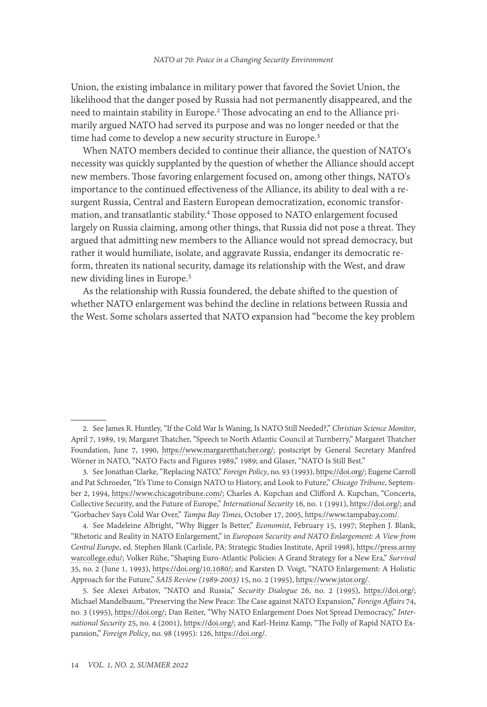Union, the existing imbalance in military power that favored the Soviet Union, the likelihood that the danger posed by Russia had not permanently disappeared, and the need to maintain stability in Europe.<sup>2</sup> Those advocating an end to the Alliance primarily argued NATO had served its purpose and was no longer needed or that the time had come to develop a new security structure in Europe.<sup>3</sup>

When NATO members decided to continue their alliance, the question of NATO's necessity was quickly supplanted by the question of whether the Alliance should accept new members. Those favoring enlargement focused on, among other things, NATO's importance to the continued effectiveness of the Alliance, its ability to deal with a resurgent Russia, Central and Eastern European democratization, economic transformation, and transatlantic stability.4 Those opposed to NATO enlargement focused largely on Russia claiming, among other things, that Russia did not pose a threat. They argued that admitting new members to the Alliance would not spread democracy, but rather it would humiliate, isolate, and aggravate Russia, endanger its democratic reform, threaten its national security, damage its relationship with the West, and draw new dividing lines in Europe.5

As the relationship with Russia foundered, the debate shifted to the question of whether NATO enlargement was behind the decline in relations between Russia and the West. Some scholars asserted that NATO expansion had "become the key problem

<sup>2.</sup> See James R. Huntley, "If the Cold War Is Waning, Is NATO Still Needed?," *Christian Science Monitor*, April 7, 1989, 19; Margaret Thatcher, "Speech to North Atlantic Council at Turnberry," Margaret Thatcher Foundation, June 7, 1990, [https://www.margaretthatcher.org/;](https://www.margaretthatcher.org/document/108106) postscript by General Secretary Manfred Wörner in NATO, "NATO Facts and Figures 1989," 1989; and Glaser, "NATO Is Still Best."

<sup>3.</sup> See Jonathan Clarke, "Replacing NATO," *Foreign Policy*, no. 93 (1993), [https://doi.org/;](https://doi.org/10.2307/1149018) Eugene Carroll and Pat Schroeder, "It's Time to Consign NATO to History, and Look to Future," *Chicago Tribune*, September 2, 1994, [https://www.chicagotribune.com/](https://www.chicagotribune.com/news/ct-xpm-1994-09-02-9409020263-story.html); Charles A. Kupchan and Clifford A. Kupchan, "Concerts, Collective Security, and the Future of Europe," *International Security* 16, no. 1 (1991), [https://doi.org/;](https://doi.org/10.2307/2539053) and "Gorbachev Says Cold War Over," *Tampa Bay Times*, October 17, 2005, [https://www.tampabay.com/](https://www.tampabay.com/archive/1990/06/05/gorbachev-says-cold-war-over/).

<sup>4.</sup> See Madeleine Albright, "Why Bigger Is Better," *Economist*, February 15, 1997; Stephen J. Blank, "Rhetoric and Reality in NATO Enlargement," in *European Security and NATO Enlargement: A View from Central Europe*, ed. Stephen Blank (Carlisle, PA: Strategic Studies Institute, April 1998), [https://press.army](https://press.armywarcollege.edu/cgi/viewcontent.cgi?article=1858&context=monographs) [warcollege.edu/](https://press.armywarcollege.edu/cgi/viewcontent.cgi?article=1858&context=monographs); Volker Rühe, "Shaping Euro‐Atlantic Policies: A Grand Strategy for a New Era," *Survival* 35, no. 2 (June 1, 1993), [https://doi.org/10.1080/](https://doi.org/10.1080/00396339308442689); and Karsten D. Voigt, "NATO Enlargement: A Holistic Approach for the Future," *SAIS Review (1989-2003)* 15, no. 2 (1995), [https://www.jstor.org/](https://www.jstor.org/stable/45345294).

<sup>5.</sup> See Alexei Arbatov, "NATO and Russia," *Security Dialogue* 26, no. 2 (1995), [https://doi.org/](https://doi.org/10.1177/0967010695026002002); Michael Mandelbaum, "Preserving the New Peace: The Case against NATO Expansion," *Foreign Affairs* 74, no. 3 (1995), [https://doi.org/](https://doi.org/10.2307/20047118); Dan Reiter, "Why NATO Enlargement Does Not Spread Democracy," *International Security* 25, no. 4 (2001), [https://doi.org/;](https://doi.org/10.1162/01622880151091899) and Karl-Heinz Kamp, "The Folly of Rapid NATO Expansion," *Foreign Policy*, no. 98 (1995): 126, [https://doi.org/](https://doi.org/10.2307/1148961).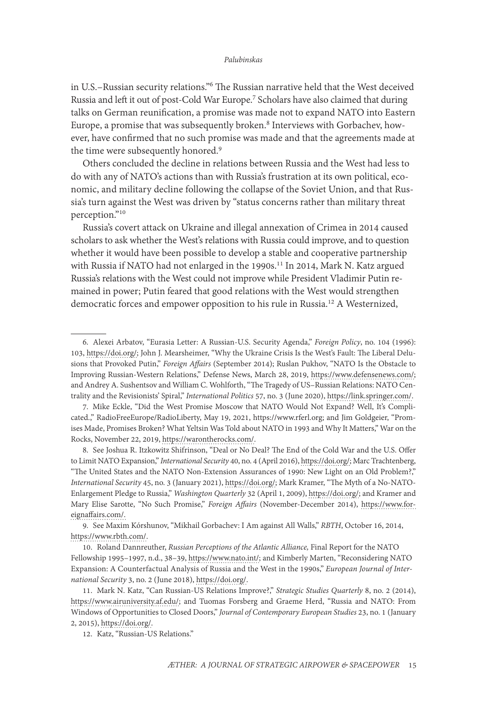in U.S.–Russian security relations."6 The Russian narrative held that the West deceived Russia and left it out of post-Cold War Europe.7 Scholars have also claimed that during talks on German reunification, a promise was made not to expand NATO into Eastern Europe, a promise that was subsequently broken.<sup>8</sup> Interviews with Gorbachev, however, have confirmed that no such promise was made and that the agreements made at the time were subsequently honored.<sup>9</sup>

Others concluded the decline in relations between Russia and the West had less to do with any of NATO's actions than with Russia's frustration at its own political, economic, and military decline following the collapse of the Soviet Union, and that Russia's turn against the West was driven by "status concerns rather than military threat perception."10

Russia's covert attack on Ukraine and illegal annexation of Crimea in 2014 caused scholars to ask whether the West's relations with Russia could improve, and to question whether it would have been possible to develop a stable and cooperative partnership with Russia if NATO had not enlarged in the 1990s.<sup>11</sup> In 2014, Mark N. Katz argued Russia's relations with the West could not improve while President Vladimir Putin remained in power; Putin feared that good relations with the West would strengthen democratic forces and empower opposition to his rule in Russia.12 A Westernized,

8. See Joshua R. Itzkowitz Shifrinson, "Deal or No Deal? The End of the Cold War and the U.S. Offer to Limit NATO Expansion," *International Security* 40, no. 4 (April 2016), [https://doi.org/;](https://doi.org/10.1162/ISEC_a_00236) Marc Trachtenberg, "The United States and the NATO Non-Extension Assurances of 1990: New Light on an Old Problem?," *International Security* 45, no. 3 (January 2021), [https://doi.org/;](https://doi.org/10.1162/isec_a_00395) Mark Kramer, "The Myth of a No-NATO-Enlargement Pledge to Russia," *Washington Quarterly* 32 (April 1, 2009), [https://doi.org/;](https://doi.org/10.1080/01636600902773248) and Kramer and Mary Elise Sarotte, "No Such Promise," *Foreign Affairs* (November-December 2014), [https://www.for](https://www.foreignaffairs.com/articles/eastern-europe-caucasus/no-such-promise)[eignaffairs.com/.](https://www.foreignaffairs.com/articles/eastern-europe-caucasus/no-such-promise)

9. See Maxim Kórshunov, "Mikhail Gorbachev: I Am against All Walls," *RBTH*, October 16, 2014, [https://www.rbth.com/.](https://www.rbth.com/international/2014/10/16/mikhail_gorbachev_i_am_against_all_walls_40673.html)

10. Roland Dannreuther, *Russian Perceptions of the Atlantic Alliance,* Final Report for the NATO Fellowship 1995–1997, n.d., 38–39, [https://www.nato.int/](https://www.nato.int/acad/fellow/95-97/dannreut.pdf); and Kimberly Marten, "Reconsidering NATO Expansion: A Counterfactual Analysis of Russia and the West in the 1990s," *European Journal of International Security* 3, no. 2 (June 2018), [https://doi.org/](https://doi.org/10.1017/eis.2017.16).

<sup>6.</sup> Alexei Arbatov, "Eurasia Letter: A Russian-U.S. Security Agenda," *Foreign Policy*, no. 104 (1996): 103, [https://doi.org/](https://doi.org/10.2307/1148993); John J. Mearsheimer, "Why the Ukraine Crisis Is the West's Fault: The Liberal Delusions that Provoked Putin," *Foreign Affairs* (September 2014); Ruslan Pukhov, "NATO Is the Obstacle to Improving Russian-Western Relations," Defense News, March 28, 2019, [https://www.defensenews.com/](https://www.defensenews.com/opinion/commentary/2019/03/28/nato-is-the-obstacle-to-improving-russian-western-relations/); and Andrey A. Sushentsov and William C. Wohlforth, "The Tragedy of US–Russian Relations: NATO Centrality and the Revisionists' Spiral," *International Politics* 57, no. 3 (June 2020), [https://link.springer.com/.](https://link.springer.com/article/10.1057/s41311-020-00229-5)

<sup>7.</sup> Mike Eckle, "Did the West Promise Moscow that NATO Would Not Expand? Well, It's Complicated.," RadioFreeEurope/RadioLiberty, May 19, 2021, [https://www.rferl.org;](https://www.rferl.org/a/nato-expansion-russia-mislead/31263602.html) and Jim Goldgeier, "Promises Made, Promises Broken? What Yeltsin Was Told about NATO in 1993 and Why It Matters," War on the Rocks, November 22, 2019, [https://warontherocks.com/](https://warontherocks.com/2019/11/promises-made-promises-broken-what-yeltsin-was-told-about-nato-in-1993-and-why-it-matters-2/).

<sup>11.</sup> Mark N. Katz, "Can Russian-US Relations Improve?," *Strategic Studies Quarterly* 8, no. 2 (2014), [https://www.airuniversity.af.edu/;](https://www.airuniversity.af.edu/Portals/10/SSQ/documents/Volume-08_Issue-2/Katz.pdf) and Tuomas Forsberg and Graeme Herd, "Russia and NATO: From Windows of Opportunities to Closed Doors," *Journal of Contemporary European Studies* 23, no. 1 (January 2, 2015), [https://doi.org/.](https://doi.org/10.1080/14782804.2014.1001824)

<sup>12.</sup> Katz, "Russian-US Relations."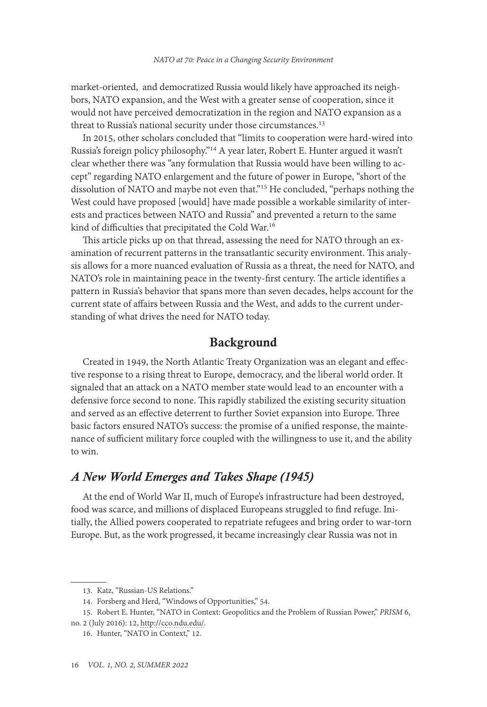market-oriented, and democratized Russia would likely have approached its neighbors, NATO expansion, and the West with a greater sense of cooperation, since it would not have perceived democratization in the region and NATO expansion as a threat to Russia's national security under those circumstances.<sup>13</sup>

In 2015, other scholars concluded that "limits to cooperation were hard-wired into Russia's foreign policy philosophy."14 A year later, Robert E. Hunter argued it wasn't clear whether there was "any formulation that Russia would have been willing to accept" regarding NATO enlargement and the future of power in Europe, "short of the dissolution of NATO and maybe not even that."15 He concluded, "perhaps nothing the West could have proposed [would] have made possible a workable similarity of interests and practices between NATO and Russia" and prevented a return to the same kind of difficulties that precipitated the Cold War.16

This article picks up on that thread, assessing the need for NATO through an examination of recurrent patterns in the transatlantic security environment. This analysis allows for a more nuanced evaluation of Russia as a threat, the need for NATO, and NATO's role in maintaining peace in the twenty-first century. The article identifies a pattern in Russia's behavior that spans more than seven decades, helps account for the current state of affairs between Russia and the West, and adds to the current understanding of what drives the need for NATO today.

### Background

Created in 1949, the North Atlantic Treaty Organization was an elegant and effective response to a rising threat to Europe, democracy, and the liberal world order. It signaled that an attack on a NATO member state would lead to an encounter with a defensive force second to none. This rapidly stabilized the existing security situation and served as an effective deterrent to further Soviet expansion into Europe. Three basic factors ensured NATO's success: the promise of a unified response, the maintenance of sufficient military force coupled with the willingness to use it, and the ability to win.

# *A New World Emerges and Takes Shape (1945)*

At the end of World War II, much of Europe's infrastructure had been destroyed, food was scarce, and millions of displaced Europeans struggled to find refuge. Initially, the Allied powers cooperated to repatriate refugees and bring order to war-torn Europe. But, as the work progressed, it became increasingly clear Russia was not in

<sup>13.</sup> Katz, "Russian-US Relations."

<sup>14.</sup> Forsberg and Herd, "Windows of Opportunities," 54.

<sup>15.</sup> Robert E. Hunter, "NATO in Context: Geopolitics and the Problem of Russian Power," *PRISM* 6, no. 2 (July 2016): 12, [http://cco.ndu.edu/.](http://cco.ndu.edu/News/Article/834928/nato-in-context-geopolitics-and-the-problem-of-russian-power/)

<sup>16.</sup> Hunter, "NATO in Context," 12.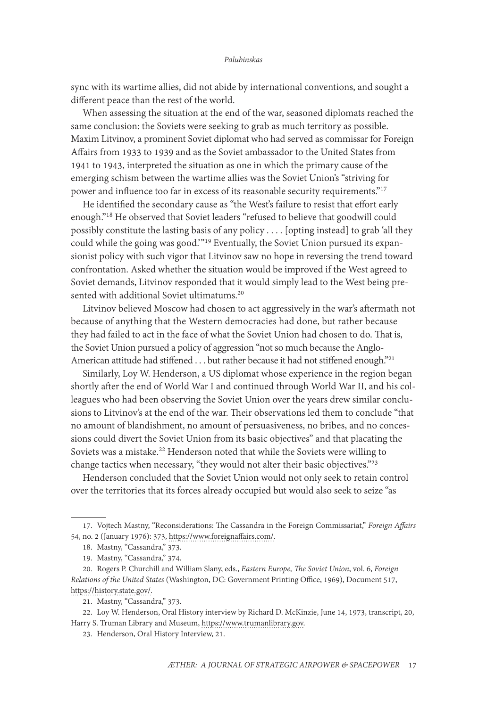sync with its wartime allies, did not abide by international conventions, and sought a different peace than the rest of the world.

When assessing the situation at the end of the war, seasoned diplomats reached the same conclusion: the Soviets were seeking to grab as much territory as possible. Maxim Litvinov, a prominent Soviet diplomat who had served as commissar for Foreign Affairs from 1933 to 1939 and as the Soviet ambassador to the United States from 1941 to 1943, interpreted the situation as one in which the primary cause of the emerging schism between the wartime allies was the Soviet Union's "striving for power and influence too far in excess of its reasonable security requirements."17

He identified the secondary cause as "the West's failure to resist that effort early enough."18 He observed that Soviet leaders "refused to believe that goodwill could possibly constitute the lasting basis of any policy . . . . [opting instead] to grab 'all they could while the going was good.' "19 Eventually, the Soviet Union pursued its expansionist policy with such vigor that Litvinov saw no hope in reversing the trend toward confrontation. Asked whether the situation would be improved if the West agreed to Soviet demands, Litvinov responded that it would simply lead to the West being presented with additional Soviet ultimatums.<sup>20</sup>

Litvinov believed Moscow had chosen to act aggressively in the war's aftermath not because of anything that the Western democracies had done, but rather because they had failed to act in the face of what the Soviet Union had chosen to do. That is, the Soviet Union pursued a policy of aggression "not so much because the Anglo-American attitude had stiffened . . . but rather because it had not stiffened enough."<sup>21</sup>

Similarly, Loy W. Henderson, a US diplomat whose experience in the region began shortly after the end of World War I and continued through World War II, and his colleagues who had been observing the Soviet Union over the years drew similar conclusions to Litvinov's at the end of the war. Their observations led them to conclude "that no amount of blandishment, no amount of persuasiveness, no bribes, and no concessions could divert the Soviet Union from its basic objectives" and that placating the Soviets was a mistake.<sup>22</sup> Henderson noted that while the Soviets were willing to change tactics when necessary, "they would not alter their basic objectives."23

Henderson concluded that the Soviet Union would not only seek to retain control over the territories that its forces already occupied but would also seek to seize "as

<sup>17.</sup> Vojtech Mastny, "Reconsiderations: The Cassandra in the Foreign Commissariat," *Foreign Affairs* 54, no. 2 (January 1976): 373, [https://www.foreignaffairs.com/](https://www.foreignaffairs.com/articles/russian-federation/1976-01-01/reconsiderations-cassandra-foreign-commissariat).

<sup>18.</sup> Mastny, "Cassandra," 373.

<sup>19.</sup> Mastny, "Cassandra," 374.

<sup>20.</sup> Rogers P. Churchill and William Slany, eds., *Eastern Europe, The Soviet Union*, vol. 6, *Foreign Relations of the United States* (Washington, DC: Government Printing Office, 1969), Document 517, [https://history.state.gov/](https://history.state.gov/historicaldocuments/frus1946v06/d517).

<sup>21.</sup> Mastny, "Cassandra," 373.

<sup>22.</sup> Loy W. Henderson, Oral History interview by Richard D. McKinzie, June 14, 1973, transcript, 20, Harry S. Truman Library and Museum, [https://www.trumanlibrary.gov](https://www.trumanlibrary.gov/library/oral-histories/
hendrson).

<sup>23.</sup> Henderson, Oral History Interview, 21.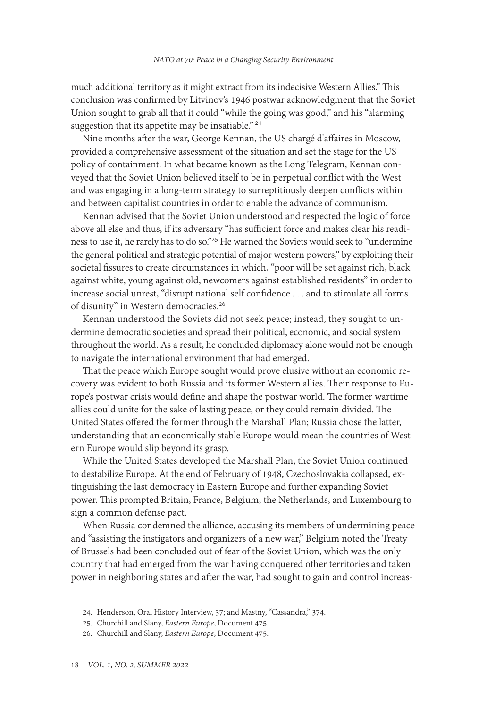much additional territory as it might extract from its indecisive Western Allies." This conclusion was confirmed by Litvinov's 1946 postwar acknowledgment that the Soviet Union sought to grab all that it could "while the going was good," and his "alarming suggestion that its appetite may be insatiable."<sup>24</sup>

Nine months after the war, George Kennan, the US chargé d'affaires in Moscow, provided a comprehensive assessment of the situation and set the stage for the US policy of containment. In what became known as the Long Telegram, Kennan conveyed that the Soviet Union believed itself to be in perpetual conflict with the West and was engaging in a long-term strategy to surreptitiously deepen conflicts within and between capitalist countries in order to enable the advance of communism.

Kennan advised that the Soviet Union understood and respected the logic of force above all else and thus, if its adversary "has sufficient force and makes clear his readiness to use it, he rarely has to do so."25 He warned the Soviets would seek to "undermine the general political and strategic potential of major western powers," by exploiting their societal fissures to create circumstances in which, "poor will be set against rich, black against white, young against old, newcomers against established residents" in order to increase social unrest, "disrupt national self confidence . . . and to stimulate all forms of disunity" in Western democracies.26

Kennan understood the Soviets did not seek peace; instead, they sought to undermine democratic societies and spread their political, economic, and social system throughout the world. As a result, he concluded diplomacy alone would not be enough to navigate the international environment that had emerged.

That the peace which Europe sought would prove elusive without an economic recovery was evident to both Russia and its former Western allies. Their response to Europe's postwar crisis would define and shape the postwar world. The former wartime allies could unite for the sake of lasting peace, or they could remain divided. The United States offered the former through the Marshall Plan; Russia chose the latter, understanding that an economically stable Europe would mean the countries of Western Europe would slip beyond its grasp.

While the United States developed the Marshall Plan, the Soviet Union continued to destabilize Europe. At the end of February of 1948, Czechoslovakia collapsed, extinguishing the last democracy in Eastern Europe and further expanding Soviet power. This prompted Britain, France, Belgium, the Netherlands, and Luxembourg to sign a common defense pact.

When Russia condemned the alliance, accusing its members of undermining peace and "assisting the instigators and organizers of a new war," Belgium noted the Treaty of Brussels had been concluded out of fear of the Soviet Union, which was the only country that had emerged from the war having conquered other territories and taken power in neighboring states and after the war, had sought to gain and control increas-

<sup>24.</sup> Henderson, Oral History Interview, 37; and Mastny, "Cassandra," 374.

<sup>25.</sup> Churchill and Slany, *Eastern Europe*, Document 475.

<sup>26.</sup> Churchill and Slany, *Eastern Europe*, Document 475.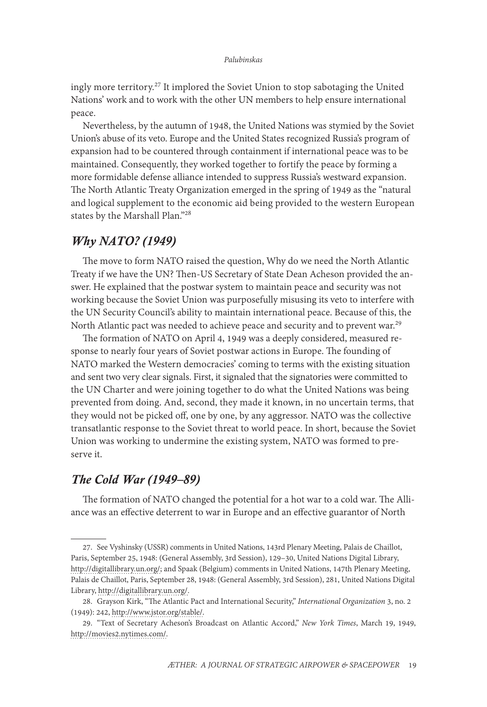ingly more territory.<sup>27</sup> It implored the Soviet Union to stop sabotaging the United Nations' work and to work with the other UN members to help ensure international peace.

Nevertheless, by the autumn of 1948, the United Nations was stymied by the Soviet Union's abuse of its veto. Europe and the United States recognized Russia's program of expansion had to be countered through containment if international peace was to be maintained. Consequently, they worked together to fortify the peace by forming a more formidable defense alliance intended to suppress Russia's westward expansion. The North Atlantic Treaty Organization emerged in the spring of 1949 as the "natural and logical supplement to the economic aid being provided to the western European states by the Marshall Plan."28

# *Why NATO? (1949)*

The move to form NATO raised the question, Why do we need the North Atlantic Treaty if we have the UN? Then-US Secretary of State Dean Acheson provided the answer. He explained that the postwar system to maintain peace and security was not working because the Soviet Union was purposefully misusing its veto to interfere with the UN Security Council's ability to maintain international peace. Because of this, the North Atlantic pact was needed to achieve peace and security and to prevent war.<sup>29</sup>

The formation of NATO on April 4, 1949 was a deeply considered, measured response to nearly four years of Soviet postwar actions in Europe. The founding of NATO marked the Western democracies' coming to terms with the existing situation and sent two very clear signals. First, it signaled that the signatories were committed to the UN Charter and were joining together to do what the United Nations was being prevented from doing. And, second, they made it known, in no uncertain terms, that they would not be picked off, one by one, by any aggressor. NATO was the collective transatlantic response to the Soviet threat to world peace. In short, because the Soviet Union was working to undermine the existing system, NATO was formed to preserve it.

# *The Cold War (1949–89)*

The formation of NATO changed the potential for a hot war to a cold war. The Alliance was an effective deterrent to war in Europe and an effective guarantor of North

<sup>27.</sup> See Vyshinsky (USSR) comments in United Nations, 143rd Plenary Meeting, Palais de Chaillot, Paris, September 25, 1948: (General Assembly, 3rd Session), 129–30, United Nations Digital Library, [http://digitallibrary.un.org/;](http://digitallibrary.un.org/record/727403) and Spaak (Belgium) comments in United Nations, 147th Plenary Meeting, Palais de Chaillot, Paris, September 28, 1948: (General Assembly, 3rd Session), 281, United Nations Digital Library, [http://digitallibrary.un.org/.](http://digitallibrary.un.org/record/727506)

<sup>28.</sup> Grayson Kirk, "The Atlantic Pact and International Security," *International Organization* 3, no. 2 (1949): 242, [http://www.jstor.org/stable/](http://www.jstor.org/stable/2703740).

<sup>29. &</sup>quot;Text of Secretary Acheson's Broadcast on Atlantic Accord," *New York Times*, March 19, 1949, [http://movies2.nytimes.com/.](http://movies2.nytimes.com/library/world/global/031949nato-acheson-text.html)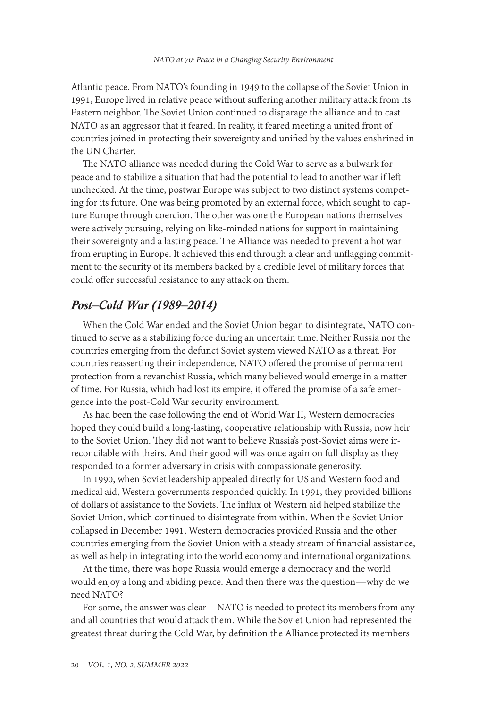Atlantic peace. From NATO's founding in 1949 to the collapse of the Soviet Union in 1991, Europe lived in relative peace without suffering another military attack from its Eastern neighbor. The Soviet Union continued to disparage the alliance and to cast NATO as an aggressor that it feared. In reality, it feared meeting a united front of countries joined in protecting their sovereignty and unified by the values enshrined in the UN Charter.

The NATO alliance was needed during the Cold War to serve as a bulwark for peace and to stabilize a situation that had the potential to lead to another war if left unchecked. At the time, postwar Europe was subject to two distinct systems competing for its future. One was being promoted by an external force, which sought to capture Europe through coercion. The other was one the European nations themselves were actively pursuing, relying on like-minded nations for support in maintaining their sovereignty and a lasting peace. The Alliance was needed to prevent a hot war from erupting in Europe. It achieved this end through a clear and unflagging commitment to the security of its members backed by a credible level of military forces that could offer successful resistance to any attack on them.

# *Post–Cold War (1989–2014)*

When the Cold War ended and the Soviet Union began to disintegrate, NATO continued to serve as a stabilizing force during an uncertain time. Neither Russia nor the countries emerging from the defunct Soviet system viewed NATO as a threat. For countries reasserting their independence, NATO offered the promise of permanent protection from a revanchist Russia, which many believed would emerge in a matter of time. For Russia, which had lost its empire, it offered the promise of a safe emergence into the post-Cold War security environment.

As had been the case following the end of World War II, Western democracies hoped they could build a long-lasting, cooperative relationship with Russia, now heir to the Soviet Union. They did not want to believe Russia's post-Soviet aims were irreconcilable with theirs. And their good will was once again on full display as they responded to a former adversary in crisis with compassionate generosity.

In 1990, when Soviet leadership appealed directly for US and Western food and medical aid, Western governments responded quickly. In 1991, they provided billions of dollars of assistance to the Soviets. The influx of Western aid helped stabilize the Soviet Union, which continued to disintegrate from within. When the Soviet Union collapsed in December 1991, Western democracies provided Russia and the other countries emerging from the Soviet Union with a steady stream of financial assistance, as well as help in integrating into the world economy and international organizations.

At the time, there was hope Russia would emerge a democracy and the world would enjoy a long and abiding peace. And then there was the question—why do we need NATO?

For some, the answer was clear—NATO is needed to protect its members from any and all countries that would attack them. While the Soviet Union had represented the greatest threat during the Cold War, by definition the Alliance protected its members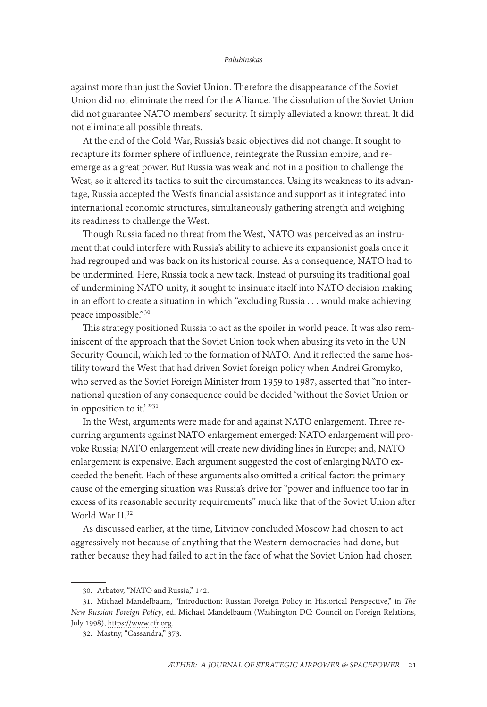against more than just the Soviet Union. Therefore the disappearance of the Soviet Union did not eliminate the need for the Alliance. The dissolution of the Soviet Union did not guarantee NATO members' security. It simply alleviated a known threat. It did not eliminate all possible threats.

At the end of the Cold War, Russia's basic objectives did not change. It sought to recapture its former sphere of influence, reintegrate the Russian empire, and reemerge as a great power. But Russia was weak and not in a position to challenge the West, so it altered its tactics to suit the circumstances. Using its weakness to its advantage, Russia accepted the West's financial assistance and support as it integrated into international economic structures, simultaneously gathering strength and weighing its readiness to challenge the West.

Though Russia faced no threat from the West, NATO was perceived as an instrument that could interfere with Russia's ability to achieve its expansionist goals once it had regrouped and was back on its historical course. As a consequence, NATO had to be undermined. Here, Russia took a new tack. Instead of pursuing its traditional goal of undermining NATO unity, it sought to insinuate itself into NATO decision making in an effort to create a situation in which "excluding Russia . . . would make achieving peace impossible."30

This strategy positioned Russia to act as the spoiler in world peace. It was also reminiscent of the approach that the Soviet Union took when abusing its veto in the UN Security Council, which led to the formation of NATO. And it reflected the same hostility toward the West that had driven Soviet foreign policy when Andrei Gromyko, who served as the Soviet Foreign Minister from 1959 to 1987, asserted that "no international question of any consequence could be decided 'without the Soviet Union or in opposition to it.'  $"31"$ 

In the West, arguments were made for and against NATO enlargement. Three recurring arguments against NATO enlargement emerged: NATO enlargement will provoke Russia; NATO enlargement will create new dividing lines in Europe; and, NATO enlargement is expensive. Each argument suggested the cost of enlarging NATO exceeded the benefit. Each of these arguments also omitted a critical factor: the primary cause of the emerging situation was Russia's drive for "power and influence too far in excess of its reasonable security requirements" much like that of the Soviet Union after World War II.32

As discussed earlier, at the time, Litvinov concluded Moscow had chosen to act aggressively not because of anything that the Western democracies had done, but rather because they had failed to act in the face of what the Soviet Union had chosen

<sup>30.</sup> Arbatov, "NATO and Russia," 142.

<sup>31.</sup> Michael Mandelbaum, "Introduction: Russian Foreign Policy in Historical Perspective," in *The New Russian Foreign Policy*, ed. Michael Mandelbaum (Washington DC: Council on Foreign Relations, July 1998), [https://www.cfr.org](https://www.cfr.org/excerpt-new-russian-foreign-policy).

<sup>32.</sup> Mastny, "Cassandra," 373.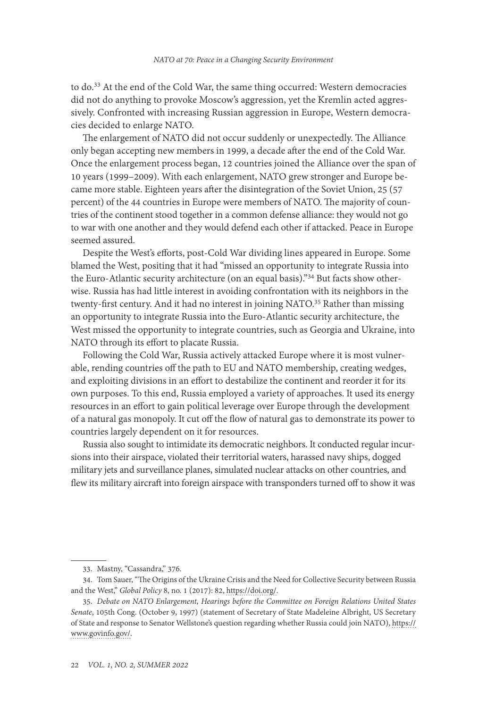to do.33 At the end of the Cold War, the same thing occurred: Western democracies did not do anything to provoke Moscow's aggression, yet the Kremlin acted aggressively. Confronted with increasing Russian aggression in Europe, Western democracies decided to enlarge NATO.

The enlargement of NATO did not occur suddenly or unexpectedly. The Alliance only began accepting new members in 1999, a decade after the end of the Cold War. Once the enlargement process began, 12 countries joined the Alliance over the span of 10 years (1999–2009). With each enlargement, NATO grew stronger and Europe became more stable. Eighteen years after the disintegration of the Soviet Union, 25 (57 percent) of the 44 countries in Europe were members of NATO. The majority of countries of the continent stood together in a common defense alliance: they would not go to war with one another and they would defend each other if attacked. Peace in Europe seemed assured.

Despite the West's efforts, post-Cold War dividing lines appeared in Europe. Some blamed the West, positing that it had "missed an opportunity to integrate Russia into the Euro-Atlantic security architecture (on an equal basis)."34 But facts show otherwise. Russia has had little interest in avoiding confrontation with its neighbors in the twenty-first century. And it had no interest in joining NATO.<sup>35</sup> Rather than missing an opportunity to integrate Russia into the Euro-Atlantic security architecture, the West missed the opportunity to integrate countries, such as Georgia and Ukraine, into NATO through its effort to placate Russia.

Following the Cold War, Russia actively attacked Europe where it is most vulnerable, rending countries off the path to EU and NATO membership, creating wedges, and exploiting divisions in an effort to destabilize the continent and reorder it for its own purposes. To this end, Russia employed a variety of approaches. It used its energy resources in an effort to gain political leverage over Europe through the development of a natural gas monopoly. It cut off the flow of natural gas to demonstrate its power to countries largely dependent on it for resources.

Russia also sought to intimidate its democratic neighbors. It conducted regular incursions into their airspace, violated their territorial waters, harassed navy ships, dogged military jets and surveillance planes, simulated nuclear attacks on other countries, and flew its military aircraft into foreign airspace with transponders turned off to show it was

<sup>33.</sup> Mastny, "Cassandra," 376.

<sup>34.</sup> Tom Sauer, "The Origins of the Ukraine Crisis and the Need for Collective Security between Russia and the West," *Global Policy* 8, no. 1 (2017): 82, [https://doi.org/](https://doi.org/10.1111/1758-5899.12374).

<sup>35.</sup> *Debate on NATO Enlargement, Hearings before the Committee on Foreign Relations United States Senate*, 105th Cong. (October 9, 1997) (statement of Secretary of State Madeleine Albright, US Secretary of State and response to Senator Wellstone's question regarding whether Russia could join NATO), [https://](https://www.govinfo.gov/content/pkg/CHRG-105shrg46832/html/CHRG-105shrg46832.htm) [www.govinfo.gov/.](https://www.govinfo.gov/content/pkg/CHRG-105shrg46832/html/CHRG-105shrg46832.htm)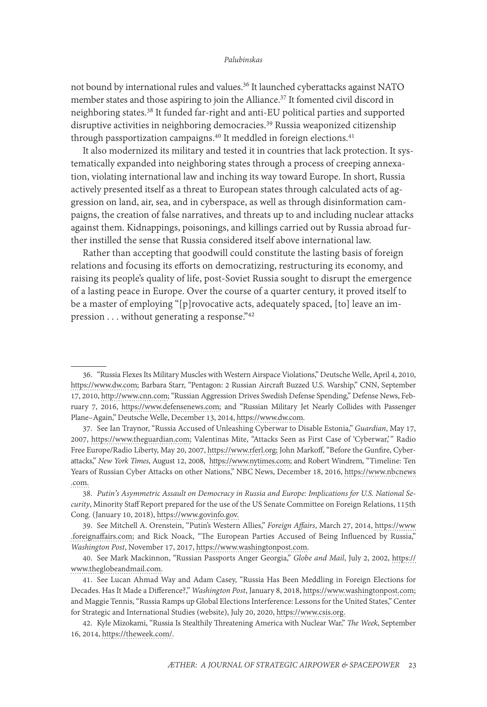not bound by international rules and values.36 It launched cyberattacks against NATO member states and those aspiring to join the Alliance.37 It fomented civil discord in neighboring states.38 It funded far-right and anti-EU political parties and supported disruptive activities in neighboring democracies.<sup>39</sup> Russia weaponized citizenship through passportization campaigns.<sup>40</sup> It meddled in foreign elections.<sup>41</sup>

It also modernized its military and tested it in countries that lack protection. It systematically expanded into neighboring states through a process of creeping annexation, violating international law and inching its way toward Europe. In short, Russia actively presented itself as a threat to European states through calculated acts of aggression on land, air, sea, and in cyberspace, as well as through disinformation campaigns, the creation of false narratives, and threats up to and including nuclear attacks against them. Kidnappings, poisonings, and killings carried out by Russia abroad further instilled the sense that Russia considered itself above international law.

Rather than accepting that goodwill could constitute the lasting basis of foreign relations and focusing its efforts on democratizing, restructuring its economy, and raising its people's quality of life, post-Soviet Russia sought to disrupt the emergence of a lasting peace in Europe. Over the course of a quarter century, it proved itself to be a master of employing "[p]rovocative acts, adequately spaced, [to] leave an impression . . . without generating a response."42

<sup>36. &</sup>quot;Russia Flexes Its Military Muscles with Western Airspace Violations," Deutsche Welle, April 4, 2010, [https://www.dw.com;](https://www.dw.com/en/russia-flexes-its-military-muscles-with-western-airspace-violations/a-5416016) Barbara Starr, "Pentagon: 2 Russian Aircraft Buzzed U.S. Warship," CNN, September 17, 2010, [http://www.cnn.com](http://www.cnn.com/2010/US/09/17/warship.russian.aircraft/index.html); "Russian Aggression Drives Swedish Defense Spending," Defense News, February 7, 2016, [https://www.defensenews.com](https://www.defensenews.com/home/2016/02/07/russian-aggression-drives-swedish-defense-spending/); and "Russian Military Jet Nearly Collides with Passenger Plane–Again," Deutsche Welle, December 13, 2014, [https://www.dw.com](https://www.dw.com/en/russian-military-jet-nearly-collides-with-passenger-plane-again/a-18127570).

<sup>37.</sup> See Ian Traynor, "Russia Accused of Unleashing Cyberwar to Disable Estonia," *Guardian*, May 17, 2007, [https://www.theguardian.com;](https://www.theguardian.com/world/2007/may/17/topstories3.russia) Valentinas Mite, "Attacks Seen as First Case of 'Cyberwar,' " Radio Free Europe/Radio Liberty, May 20, 2007, [https://www.rferl.org](https://www.rferl.org/a/1076805.html); John Markoff, "Before the Gunfire, Cyberattacks," *New York Times*, August 12, 2008, [https://www.nytimes.com](https://www.nytimes.com/2008/08/13/technology/13cyber.html); and Robert Windrem, "Timeline: Ten Years of Russian Cyber Attacks on other Nations," NBC News, December 18, 2016, [https://www.nbcnews](https://www.nbcnews.com/storyline/hacking-in-america/timeline-ten-years-russian-cyber-attacks-other-nations-n697111) [.com.](https://www.nbcnews.com/storyline/hacking-in-america/timeline-ten-years-russian-cyber-attacks-other-nations-n697111)

<sup>38.</sup> *Putin's Asymmetric Assault on Democracy in Russia and Europe: Implications for U.S. National Security*, Minority Staff Report prepared for the use of the US Senate Committee on Foreign Relations, 115th Cong. (January 10, 2018), [https://www.govinfo.gov](https://www.govinfo.gov/content/pkg/CPRT-115SPRT28110/html/CPRT-115SPRT28110.htm).

<sup>39.</sup> See Mitchell A. Orenstein, "Putin's Western Allies," *Foreign Affairs*, March 27, 2014, [https://www](https://www.foreignaffairs.com/articles/russia-fsu/2014-03-25/putins-western-allies) [.foreignaffairs.com;](https://www.foreignaffairs.com/articles/russia-fsu/2014-03-25/putins-western-allies) and Rick Noack, "The European Parties Accused of Being Influenced by Russia," *Washington Post*, November 17, 2017, [https://www.washingtonpost.com](https://www.washingtonpost.com/news/worldviews/wp/2017/11/17/the-european-parties-accused-of-being-influenced-by-russia/).

<sup>40.</sup> See Mark Mackinnon, "Russian Passports Anger Georgia," *Globe and Mail*, July 2, 2002, [https://](https://www.theglobeandmail.com/news/world/russian-passports-anger-georgia/article4137259/) [www.theglobeandmail.com.](https://www.theglobeandmail.com/news/world/russian-passports-anger-georgia/article4137259/)

<sup>41.</sup> See Lucan Ahmad Way and Adam Casey, "Russia Has Been Meddling in Foreign Elections for Decades. Has It Made a Difference?," *Washington Post*, January 8, 2018, [https://www.washingtonpost.com](https://www.washingtonpost.com/news/monkey-cage/wp/2018/01/05/russia-has-been-meddling-in-foreign-elections-for-decades-has-it-made-a-difference/); and Maggie Tennis, "Russia Ramps up Global Elections Interference: Lessons for the United States," Center for Strategic and International Studies (website), July 20, 2020, [https://www.csis.org](https://www.csis.org/blogs/technology-policy-blog/russia-ramps-global-elections-interference-lessons-united-states).

<sup>42.</sup> Kyle Mizokami, "Russia Is Stealthily Threatening America with Nuclear War," *The Week*, September 16, 2014, [https://theweek.com/](https://theweek.com/articles/443760/russia-stealthily-threatening-america-nuclear-war).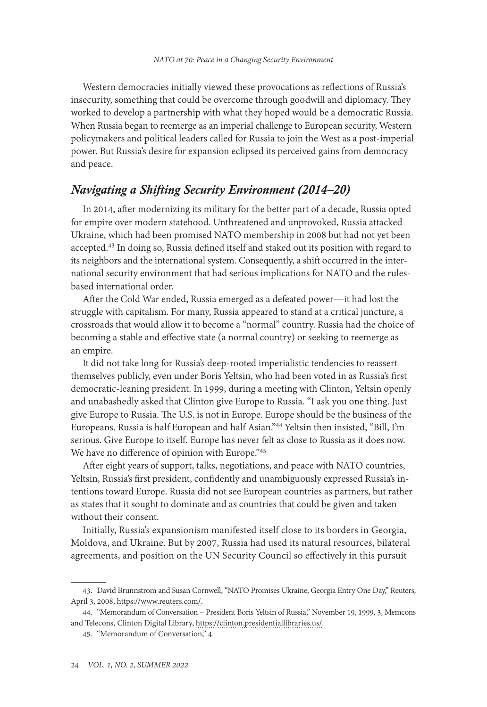Western democracies initially viewed these provocations as reflections of Russia's insecurity, something that could be overcome through goodwill and diplomacy. They worked to develop a partnership with what they hoped would be a democratic Russia. When Russia began to reemerge as an imperial challenge to European security, Western policymakers and political leaders called for Russia to join the West as a post-imperial power. But Russia's desire for expansion eclipsed its perceived gains from democracy and peace.

# *Navigating a Shifting Security Environment (2014–20)*

In 2014, after modernizing its military for the better part of a decade, Russia opted for empire over modern statehood. Unthreatened and unprovoked, Russia attacked Ukraine, which had been promised NATO membership in 2008 but had not yet been accepted.<sup>43</sup> In doing so, Russia defined itself and staked out its position with regard to its neighbors and the international system. Consequently, a shift occurred in the international security environment that had serious implications for NATO and the rulesbased international order.

After the Cold War ended, Russia emerged as a defeated power—it had lost the struggle with capitalism. For many, Russia appeared to stand at a critical juncture, a crossroads that would allow it to become a "normal" country. Russia had the choice of becoming a stable and effective state (a normal country) or seeking to reemerge as an empire.

It did not take long for Russia's deep-rooted imperialistic tendencies to reassert themselves publicly, even under Boris Yeltsin, who had been voted in as Russia's first democratic-leaning president. In 1999, during a meeting with Clinton, Yeltsin openly and unabashedly asked that Clinton give Europe to Russia. "I ask you one thing. Just give Europe to Russia. The U.S. is not in Europe. Europe should be the business of the Europeans. Russia is half European and half Asian."44 Yeltsin then insisted, "Bill, I'm serious. Give Europe to itself. Europe has never felt as close to Russia as it does now. We have no difference of opinion with Europe."45

After eight years of support, talks, negotiations, and peace with NATO countries, Yeltsin, Russia's first president, confidently and unambiguously expressed Russia's intentions toward Europe. Russia did not see European countries as partners, but rather as states that it sought to dominate and as countries that could be given and taken without their consent.

Initially, Russia's expansionism manifested itself close to its borders in Georgia, Moldova, and Ukraine. But by 2007, Russia had used its natural resources, bilateral agreements, and position on the UN Security Council so effectively in this pursuit

<sup>43.</sup> David Brunnstrom and Susan Cornwell, "NATO Promises Ukraine, Georgia Entry One Day," Reuters, April 3, 2008, [https://www.reuters.com/](https://www.reuters.com/article/us-nato-idUSL0179714620080403).

<sup>44. &</sup>quot;Memorandum of Conversation – President Boris Yeltsin of Russia," November 19, 1999, 3, Memcons and Telecons, Clinton Digital Library, [https://clinton.presidentiallibraries.us/.](https://clinton.presidentiallibraries.us/items/show/101582)

<sup>45. &</sup>quot;Memorandum of Conversation," 4.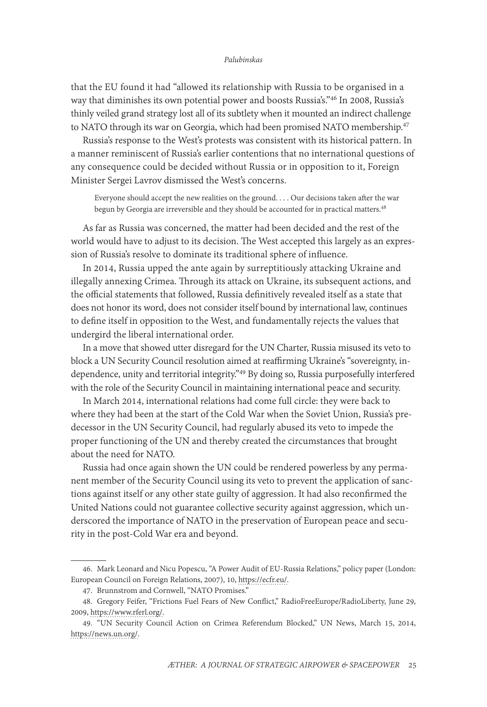that the EU found it had "allowed its relationship with Russia to be organised in a way that diminishes its own potential power and boosts Russia's."46 In 2008, Russia's thinly veiled grand strategy lost all of its subtlety when it mounted an indirect challenge to NATO through its war on Georgia, which had been promised NATO membership.<sup>47</sup>

Russia's response to the West's protests was consistent with its historical pattern. In a manner reminiscent of Russia's earlier contentions that no international questions of any consequence could be decided without Russia or in opposition to it, Foreign Minister Sergei Lavrov dismissed the West's concerns.

Everyone should accept the new realities on the ground. . . . Our decisions taken after the war begun by Georgia are irreversible and they should be accounted for in practical matters.<sup>48</sup>

As far as Russia was concerned, the matter had been decided and the rest of the world would have to adjust to its decision. The West accepted this largely as an expression of Russia's resolve to dominate its traditional sphere of influence.

In 2014, Russia upped the ante again by surreptitiously attacking Ukraine and illegally annexing Crimea. Through its attack on Ukraine, its subsequent actions, and the official statements that followed, Russia definitively revealed itself as a state that does not honor its word, does not consider itself bound by international law, continues to define itself in opposition to the West, and fundamentally rejects the values that undergird the liberal international order.

In a move that showed utter disregard for the UN Charter, Russia misused its veto to block a UN Security Council resolution aimed at reaffirming Ukraine's "sovereignty, independence, unity and territorial integrity."49 By doing so, Russia purposefully interfered with the role of the Security Council in maintaining international peace and security.

In March 2014, international relations had come full circle: they were back to where they had been at the start of the Cold War when the Soviet Union, Russia's predecessor in the UN Security Council, had regularly abused its veto to impede the proper functioning of the UN and thereby created the circumstances that brought about the need for NATO.

Russia had once again shown the UN could be rendered powerless by any permanent member of the Security Council using its veto to prevent the application of sanctions against itself or any other state guilty of aggression. It had also reconfirmed the United Nations could not guarantee collective security against aggression, which underscored the importance of NATO in the preservation of European peace and security in the post-Cold War era and beyond.

<sup>46.</sup> Mark Leonard and Nicu Popescu, "A Power Audit of EU-Russia Relations," policy paper (London: European Council on Foreign Relations, 2007), 10, [https://ecfr.eu/.](https://ecfr.eu/wp-content/uploads/ECFR-02_A_POWER_AUDIT_OF_EU-RUSSIA_RELATIONS.pdf)

<sup>47.</sup> Brunnstrom and Cornwell, "NATO Promises."

<sup>48.</sup> Gregory Feifer, "Frictions Fuel Fears of New Conflict," RadioFreeEurope/RadioLiberty, June 29, 2009, [https://www.rferl.org/](https://www.rferl.org/a/Fears_Grow_Of_New_RussiaGeorgia_Conflict/1765258.html).

<sup>49. &</sup>quot;UN Security Council Action on Crimea Referendum Blocked," UN News, March 15, 2014, [https://news.un.org/](https://news.un.org/en/story/2014/03/464002-un-security-council-action-crimea-referendum-blocked).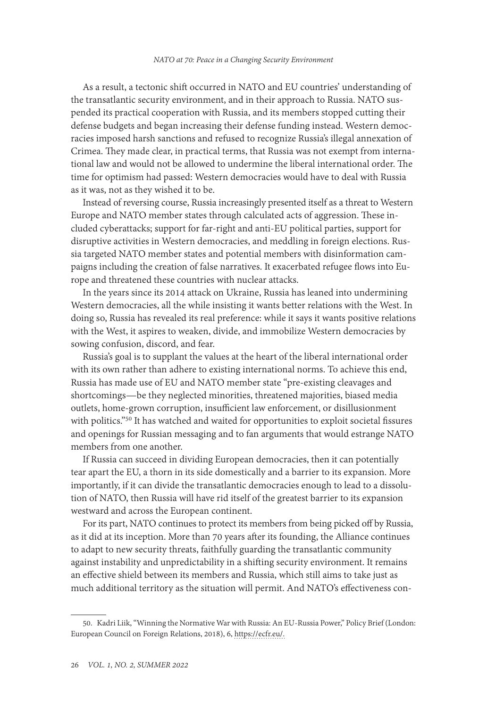As a result, a tectonic shift occurred in NATO and EU countries' understanding of the transatlantic security environment, and in their approach to Russia. NATO suspended its practical cooperation with Russia, and its members stopped cutting their defense budgets and began increasing their defense funding instead. Western democracies imposed harsh sanctions and refused to recognize Russia's illegal annexation of Crimea. They made clear, in practical terms, that Russia was not exempt from international law and would not be allowed to undermine the liberal international order. The time for optimism had passed: Western democracies would have to deal with Russia as it was, not as they wished it to be.

Instead of reversing course, Russia increasingly presented itself as a threat to Western Europe and NATO member states through calculated acts of aggression. These included cyberattacks; support for far-right and anti-EU political parties, support for disruptive activities in Western democracies, and meddling in foreign elections. Russia targeted NATO member states and potential members with disinformation campaigns including the creation of false narratives. It exacerbated refugee flows into Europe and threatened these countries with nuclear attacks.

In the years since its 2014 attack on Ukraine, Russia has leaned into undermining Western democracies, all the while insisting it wants better relations with the West. In doing so, Russia has revealed its real preference: while it says it wants positive relations with the West, it aspires to weaken, divide, and immobilize Western democracies by sowing confusion, discord, and fear.

Russia's goal is to supplant the values at the heart of the liberal international order with its own rather than adhere to existing international norms. To achieve this end, Russia has made use of EU and NATO member state "pre-existing cleavages and shortcomings—be they neglected minorities, threatened majorities, biased media outlets, home-grown corruption, insufficient law enforcement, or disillusionment with politics."50 It has watched and waited for opportunities to exploit societal fissures and openings for Russian messaging and to fan arguments that would estrange NATO members from one another.

If Russia can succeed in dividing European democracies, then it can potentially tear apart the EU, a thorn in its side domestically and a barrier to its expansion. More importantly, if it can divide the transatlantic democracies enough to lead to a dissolution of NATO, then Russia will have rid itself of the greatest barrier to its expansion westward and across the European continent.

For its part, NATO continues to protect its members from being picked off by Russia, as it did at its inception. More than 70 years after its founding, the Alliance continues to adapt to new security threats, faithfully guarding the transatlantic community against instability and unpredictability in a shifting security environment. It remains an effective shield between its members and Russia, which still aims to take just as much additional territory as the situation will permit. And NATO's effectiveness con-

<sup>50.</sup> Kadri Liik, "Winning the Normative War with Russia: An EU-Russia Power," Policy Brief (London: European Council on Foreign Relations, 2018), 6, [https://ecfr.eu/.](https://ecfr.eu/publication/winning_the_normative_war_with_russia_an_eu_russia_power_audit/)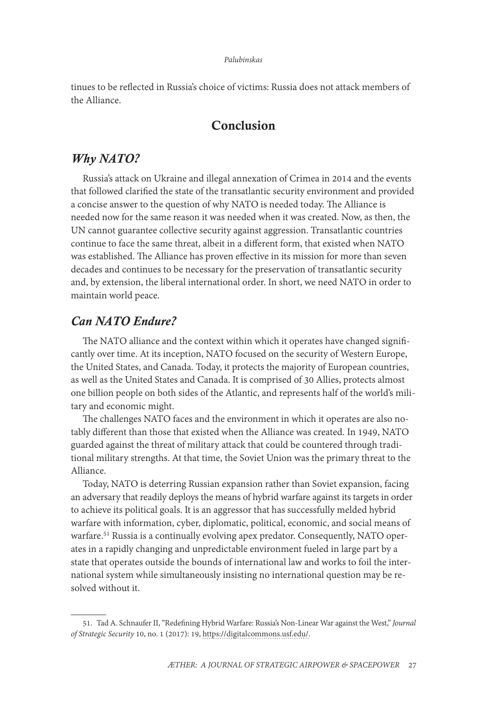tinues to be reflected in Russia's choice of victims: Russia does not attack members of the Alliance.

# Conclusion

## *Why NATO?*

Russia's attack on Ukraine and illegal annexation of Crimea in 2014 and the events that followed clarified the state of the transatlantic security environment and provided a concise answer to the question of why NATO is needed today. The Alliance is needed now for the same reason it was needed when it was created. Now, as then, the UN cannot guarantee collective security against aggression. Transatlantic countries continue to face the same threat, albeit in a different form, that existed when NATO was established. The Alliance has proven effective in its mission for more than seven decades and continues to be necessary for the preservation of transatlantic security and, by extension, the liberal international order. In short, we need NATO in order to maintain world peace.

# *Can NATO Endure?*

The NATO alliance and the context within which it operates have changed significantly over time. At its inception, NATO focused on the security of Western Europe, the United States, and Canada. Today, it protects the majority of European countries, as well as the United States and Canada. It is comprised of 30 Allies, protects almost one billion people on both sides of the Atlantic, and represents half of the world's military and economic might.

The challenges NATO faces and the environment in which it operates are also notably different than those that existed when the Alliance was created. In 1949, NATO guarded against the threat of military attack that could be countered through traditional military strengths. At that time, the Soviet Union was the primary threat to the Alliance.

Today, NATO is deterring Russian expansion rather than Soviet expansion, facing an adversary that readily deploys the means of hybrid warfare against its targets in order to achieve its political goals. It is an aggressor that has successfully melded hybrid warfare with information, cyber, diplomatic, political, economic, and social means of warfare.<sup>51</sup> Russia is a continually evolving apex predator. Consequently, NATO operates in a rapidly changing and unpredictable environment fueled in large part by a state that operates outside the bounds of international law and works to foil the international system while simultaneously insisting no international question may be resolved without it.

<sup>51.</sup> Tad A. Schnaufer II, "Redefining Hybrid Warfare: Russia's Non-Linear War against the West," *Journal of Strategic Security* 10, no. 1 (2017): 19, [https://digitalcommons.usf.edu/.](https://digitalcommons.usf.edu/cgi/viewcontent.cgi?article=1538&context=jss)